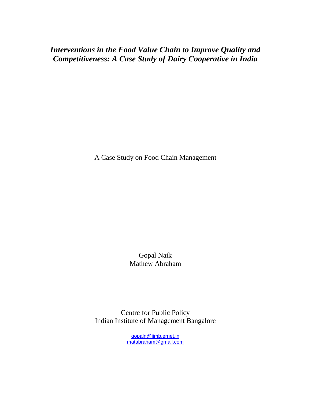*Interventions in the Food Value Chain to Improve Quality and Competitiveness: A Case Study of Dairy Cooperative in India* 

A Case Study on Food Chain Management

Gopal Naik Mathew Abraham

Centre for Public Policy Indian Institute of Management Bangalore

> gopaln@iimb.ernet.in matabraham@gmail.com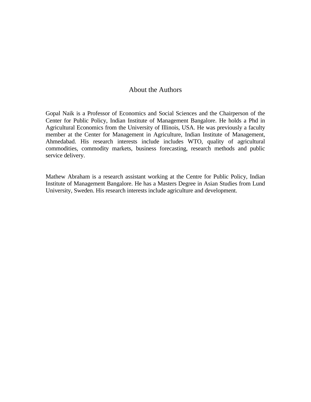## About the Authors

Gopal Naik is a Professor of Economics and Social Sciences and the Chairperson of the Center for Public Policy, Indian Institute of Management Bangalore. He holds a Phd in Agricultural Economics from the University of Illinois, USA. He was previously a faculty member at the Center for Management in Agriculture, Indian Institute of Management, Ahmedabad. His research interests include includes WTO, quality of agricultural commodities, commodity markets, business forecasting, research methods and public service delivery.

Mathew Abraham is a research assistant working at the Centre for Public Policy, Indian Institute of Management Bangalore. He has a Masters Degree in Asian Studies from Lund University, Sweden. His research interests include agriculture and development.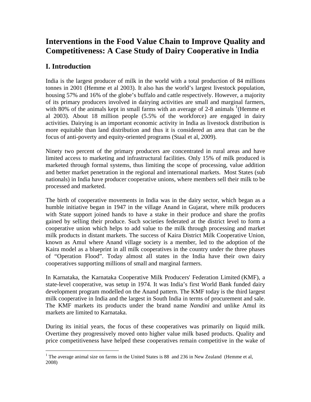# **Interventions in the Food Value Chain to Improve Quality and Competitiveness: A Case Study of Dairy Cooperative in India**

# **I. Introduction**

India is the largest producer of milk in the world with a total production of 84 millions tonnes in 2001 (Hemme et al 2003). It also has the world's largest livestock population, housing 57% and 16% of the globe's buffalo and cattle respectively. However, a majority of its primary producers involved in dairying activities are small and marginal farmers, with  $80\%$  of the animals kept in small farms with an average of 2-8 animals  $($ Hemme et al 2003). About 18 million people (5.5% of the workforce) are engaged in dairy activities. Dairying is an important economic activity in India as livestock distribution is more equitable than land distribution and thus it is considered an area that can be the focus of anti-poverty and equity-oriented programs (Staal et al, 2009).

Ninety two percent of the primary producers are concentrated in rural areas and have limited access to marketing and infrastructural facilities. Only 15% of milk produced is marketed through formal systems, thus limiting the scope of processing, value addition and better market penetration in the regional and international markets. Most States (sub nationals) in India have producer cooperative unions, where members sell their milk to be processed and marketed.

The birth of cooperative movements in India was in the dairy sector, which began as a humble initiative began in 1947 in the village Anand in Gujarat, where milk producers with State support joined hands to have a stake in their produce and share the profits gained by selling their produce. Such societies federated at the district level to form a cooperative union which helps to add value to the milk through processing and market milk products in distant markets. The success of Kaira District Milk Cooperative Union, known as Amul where Anand village society is a member, led to the adoption of the Kaira model as a blueprint in all milk cooperatives in the country under the three phases of "Operation Flood". Today almost all states in the India have their own dairy cooperatives supporting millions of small and marginal farmers.

In Karnataka, the Karnataka Cooperative Milk Producers' Federation Limited (KMF), a state-level cooperative, was setup in 1974. It was India's first World Bank funded dairy development program modelled on the Anand pattern. The KMF today is the third largest milk cooperative in India and the largest in South India in terms of procurement and sale. The KMF markets its products under the brand name *Nandini* and unlike Amul its markets are limited to Karnataka.

During its initial years, the focus of these cooperatives was primarily on liquid milk. Overtime they progressively moved onto higher value milk based products. Quality and price competitiveness have helped these cooperatives remain competitive in the wake of

<sup>&</sup>lt;sup>1</sup> The average animal size on farms in the United States is 88 and 236 in New Zealand (Hemme et al, 2008)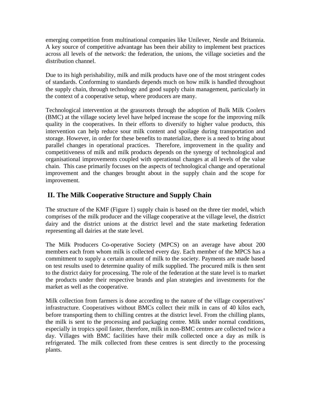emerging competition from multinational companies like Unilever, Nestle and Britannia. A key source of competitive advantage has been their ability to implement best practices across all levels of the network: the federation, the unions, the village societies and the distribution channel.

Due to its high perishability, milk and milk products have one of the most stringent codes of standards. Conforming to standards depends much on how milk is handled throughout the supply chain, through technology and good supply chain management, particularly in the context of a cooperative setup, where producers are many.

Technological intervention at the grassroots through the adoption of Bulk Milk Coolers (BMC) at the village society level have helped increase the scope for the improving milk quality in the cooperatives. In their efforts to diversify to higher value products, this intervention can help reduce sour milk content and spoilage during transportation and storage. However, in order for these benefits to materialize, there is a need to bring about parallel changes in operational practices. Therefore, improvement in the quality and competitiveness of milk and milk products depends on the synergy of technological and organisational improvements coupled with operational changes at all levels of the value chain. This case primarily focuses on the aspects of technological change and operational improvement and the changes brought about in the supply chain and the scope for improvement.

## **II. The Milk Cooperative Structure and Supply Chain**

The structure of the KMF (Figure 1) supply chain is based on the three tier model, which comprises of the milk producer and the village cooperative at the village level, the district dairy and the district unions at the district level and the state marketing federation representing all dairies at the state level.

The Milk Producers Co-operative Society (MPCS) on an average have about 200 members each from whom milk is collected every day. Each member of the MPCS has a commitment to supply a certain amount of milk to the society. Payments are made based on test results used to determine quality of milk supplied. The procured milk is then sent to the district dairy for processing. The role of the federation at the state level is to market the products under their respective brands and plan strategies and investments for the market as well as the cooperative.

Milk collection from farmers is done according to the nature of the village cooperatives' infrastructure. Cooperatives without BMCs collect their milk in cans of 40 kilos each, before transporting them to chilling centres at the district level. From the chilling plants, the milk is sent to the processing and packaging centre. Milk under normal conditions, especially in tropics spoil faster, therefore, milk in non-BMC centres are collected twice a day. Villages with BMC facilities have their milk collected once a day as milk is refrigerated. The milk collected from these centres is sent directly to the processing plants.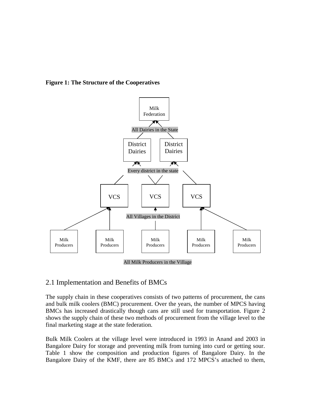**Figure 1: The Structure of the Cooperatives** 



## 2.1 Implementation and Benefits of BMCs

The supply chain in these cooperatives consists of two patterns of procurement, the cans and bulk milk coolers (BMC) procurement. Over the years, the number of MPCS having BMCs has increased drastically though cans are still used for transportation. Figure 2 shows the supply chain of these two methods of procurement from the village level to the final marketing stage at the state federation.

Bulk Milk Coolers at the village level were introduced in 1993 in Anand and 2003 in Bangalore Dairy for storage and preventing milk from turning into curd or getting sour. Table 1 show the composition and production figures of Bangalore Dairy. In the Bangalore Dairy of the KMF, there are 85 BMCs and 172 MPCS's attached to them,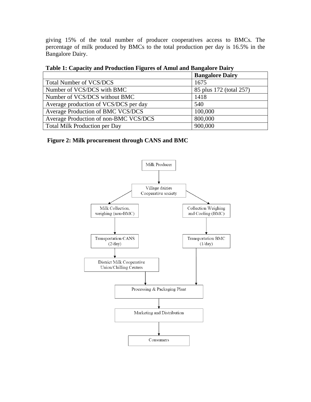giving 15% of the total number of producer cooperatives access to BMCs. The percentage of milk produced by BMCs to the total production per day is 16.5% in the Bangalore Dairy.

| $\sim$ which is componently which is concerned a right to be changed which is what $\frac{1}{2}$ |                         |  |  |  |  |
|--------------------------------------------------------------------------------------------------|-------------------------|--|--|--|--|
|                                                                                                  | <b>Bangalore Dairy</b>  |  |  |  |  |
| <b>Total Number of VCS/DCS</b>                                                                   | 1675                    |  |  |  |  |
| Number of VCS/DCS with BMC                                                                       | 85 plus 172 (total 257) |  |  |  |  |
| Number of VCS/DCS without BMC                                                                    | 1418                    |  |  |  |  |
| Average production of VCS/DCS per day                                                            | 540                     |  |  |  |  |
| Average Production of BMC VCS/DCS                                                                | 100,000                 |  |  |  |  |
| Average Production of non-BMC VCS/DCS                                                            | 800,000                 |  |  |  |  |
| <b>Total Milk Production per Day</b>                                                             | 900,000                 |  |  |  |  |

**Table 1: Capacity and Production Figures of Amul and Bangalore Dairy** 

### **Figure 2: Milk procurement through CANS and BMC**

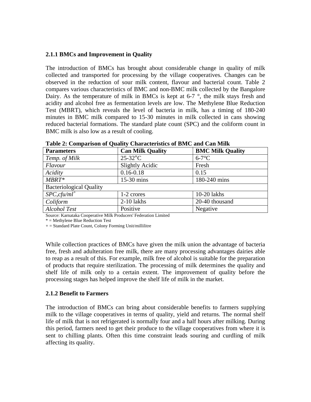#### **2.1.1 BMCs and Improvement in Quality**

The introduction of BMCs has brought about considerable change in quality of milk collected and transported for processing by the village cooperatives. Changes can be observed in the reduction of sour milk content, flavour and bacterial count. Table 2 compares various characteristics of BMC and non-BMC milk collected by the Bangalore Dairy. As the temperature of milk in BMCs is kept at  $6-7$  °, the milk stays fresh and acidity and alcohol free as fermentation levels are low. The Methylene Blue Reduction Test (MBRT), which reveals the level of bacteria in milk, has a timing of 180-240 minutes in BMC milk compared to 15-30 minutes in milk collected in cans showing reduced bacterial formations. The standard plate count (SPC) and the coliform count in BMC milk is also low as a result of cooling.

| <b>Parameters</b>              | <b>Can Milk Quality</b> | <b>BMC Milk Quality</b> |  |
|--------------------------------|-------------------------|-------------------------|--|
| Temp. of Milk                  | $25-32$ °C              | $6-7$ °C                |  |
| Flavour                        | <b>Slightly Acidic</b>  | Fresh                   |  |
| Acidity                        | $0.16 - 0.18$           | 0.15                    |  |
| $MBRT*$                        | $15-30$ mins            | 180-240 mins            |  |
| <b>Bacteriological Quality</b> |                         |                         |  |
| $SPC, cfu/ml^+$                | 1-2 crores              | 10-20 lakhs             |  |
| Coliform                       | $2-10$ lakhs            | 20-40 thousand          |  |
| <b>Alcohol Test</b>            | Positive                | Negative                |  |

**Table 2: Comparison of Quality Characteristics of BMC and Can Milk** 

Source: Karnataka Cooperative Milk Producers' Federation Limited

\* = Methylene Blue Reduction Test

+ = Standard Plate Count, Colony Forming Unit/millilitre

While collection practices of BMCs have given the milk union the advantage of bacteria free, fresh and adulteration free milk, there are many processing advantages dairies able to reap as a result of this. For example, milk free of alcohol is suitable for the preparation of products that require sterilization. The processing of milk determines the quality and shelf life of milk only to a certain extent. The improvement of quality before the processing stages has helped improve the shelf life of milk in the market.

#### **2.1.2 Benefit to Farmers**

The introduction of BMCs can bring about considerable benefits to farmers supplying milk to the village cooperatives in terms of quality, yield and returns. The normal shelf life of milk that is not refrigerated is normally four and a half hours after milking. During this period, farmers need to get their produce to the village cooperatives from where it is sent to chilling plants. Often this time constraint leads souring and curdling of milk affecting its quality.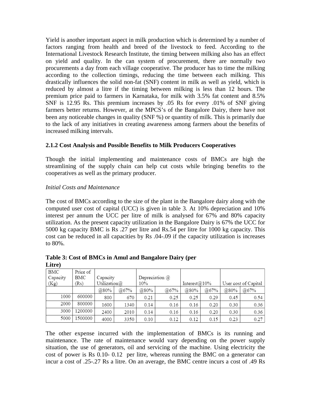Yield is another important aspect in milk production which is determined by a number of factors ranging from health and breed of the livestock to feed. According to the International Livestock Research Institute, the timing between milking also has an effect on yield and quality. In the can system of procurement, there are normally two procurements a day from each village cooperative. The producer has to time the milking according to the collection timings, reducing the time between each milking. This drastically influences the solid non-fat (SNF) content in milk as well as yield, which is reduced by almost a litre if the timing between milking is less than 12 hours. The premium price paid to farmers in Karnataka, for milk with 3.5% fat content and 8.5% SNF is 12.95 Rs. This premium increases by .05 Rs for every .01% of SNF giving farmers better returns. However, at the MPCS's of the Bangalore Dairy, there have not been any noticeable changes in quality (SNF %) or quantity of milk. This is primarily due to the lack of any initiatives in creating awareness among farmers about the benefits of increased milking intervals.

### **2.1.2 Cost Analysis and Possible Benefits to Milk Producers Cooperatives**

Though the initial implementing and maintenance costs of BMCs are high the streamlining of the supply chain can help cut costs while bringing benefits to the cooperatives as well as the primary producer.

### *Initial Costs and Maintenance*

The cost of BMCs according to the size of the plant in the Bangalore dairy along with the computed user cost of capital (UCC) is given in table 3. At 10% depreciation and 10% interest per annum the UCC per litre of milk is analysed for 67% and 80% capacity utilization. As the present capacity utilization in the Bangalore Dairy is 67% the UCC for 5000 kg capacity BMC is Rs .27 per litre and Rs.54 per litre for 1000 kg capacity. This cost can be reduced in all capacities by Rs .04-.09 if the capacity utilization is increases to 80%.

| Liute)   |          |                 |      |      |                  |                  |      |      |                      |
|----------|----------|-----------------|------|------|------------------|------------------|------|------|----------------------|
| BMC      | Price of |                 |      |      |                  |                  |      |      |                      |
| Capacity | BMC      | Capacity        |      |      | Depreciation $@$ |                  |      |      |                      |
| (Kg)     | (Rs)     | Utilization $@$ |      | 10%  |                  | Interest $@10\%$ |      |      | User cost of Capital |
|          |          | @80%            | @67% | @80% | @67%             | @80%             | @67% | @80% | @67%                 |
| 1000     | 600000   | 800             | 670  | 0.21 | 0.25             | 0.25             | 0.29 | 0.45 | 0.54                 |
| 2000     | 800000   | 1600            | 1340 | 0.14 | 0.16             | 0.16             | 0.20 | 0.30 | 0.36                 |
| 3000     | 1200000  | 2400            | 2010 | 0.14 | 0.16             | 0.16             | 0.20 | 0.30 | 0.36                 |
| 5000     | 1500000  | 4000            | 3350 | 0.10 | 0.12             | 0.12             | 0.15 | 0.23 | 0.27                 |

**Table 3: Cost of BMCs in Amul and Bangalore Dairy (per**   $\mathbf{L}$ **i** $\mathbf{L}$ 

The other expense incurred with the implementation of BMCs is its running and maintenance. The rate of maintenance would vary depending on the power supply situation, the use of generators, oil and servicing of the machine. Using electricity the cost of power is Rs 0.10- 0.12 per litre, whereas running the BMC on a generator can incur a cost of .25-.27 Rs a litre. On an average, the BMC centre incurs a cost of .49 Rs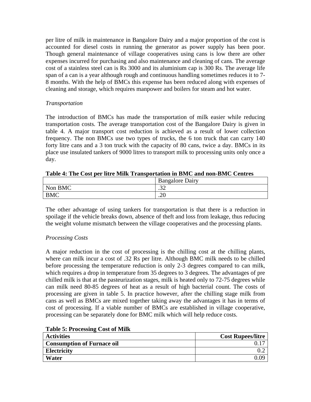per litre of milk in maintenance in Bangalore Dairy and a major proportion of the cost is accounted for diesel costs in running the generator as power supply has been poor. Though general maintenance of village cooperatives using cans is low there are other expenses incurred for purchasing and also maintenance and cleaning of cans. The average cost of a stainless steel can is Rs 3000 and its aluminium cap is 300 Rs. The average life span of a can is a year although rough and continuous handling sometimes reduces it to 7- 8 months. With the help of BMCs this expense has been reduced along with expenses of cleaning and storage, which requires manpower and boilers for steam and hot water.

### *Transportation*

The introduction of BMCs has made the transportation of milk easier while reducing transportation costs. The average transportation cost of the Bangalore Dairy is given in table 4. A major transport cost reduction is achieved as a result of lower collection frequency. The non BMCs use two types of trucks, the 6 ton truck that can carry 140 forty litre cans and a 3 ton truck with the capacity of 80 cans, twice a day. BMCs in its place use insulated tankers of 9000 litres to transport milk to processing units only once a day.

|            | <b>Bangalore Dairy</b> |
|------------|------------------------|
| Non BMC    | $\sim$<br>$-1$         |
| <b>BMC</b> | ില<br>.∠∪              |

#### **Table 4: The Cost per litre Milk Transportation in BMC and non-BMC Centres**

The other advantage of using tankers for transportation is that there is a reduction in spoilage if the vehicle breaks down, absence of theft and loss from leakage, thus reducing the weight volume mismatch between the village cooperatives and the processing plants.

## *Processing Costs*

A major reduction in the cost of processing is the chilling cost at the chilling plants, where can milk incur a cost of .32 Rs per litre. Although BMC milk needs to be chilled before processing the temperature reduction is only 2-3 degrees compared to can milk, which requires a drop in temperature from 35 degrees to 3 degrees. The advantages of pre chilled milk is that at the pasteurization stages, milk is heated only to 72-75 degrees while can milk need 80-85 degrees of heat as a result of high bacterial count. The costs of processing are given in table 5. In practice however, after the chilling stage milk from cans as well as BMCs are mixed together taking away the advantages it has in terms of cost of processing. If a viable number of BMCs are established in village cooperative, processing can be separately done for BMC milk which will help reduce costs.

| <b>Table 5: Processing Cost of Milk</b> |  |
|-----------------------------------------|--|
|-----------------------------------------|--|

| <b>Activities</b>                 | <b>Cost Rupees/litre</b> |
|-----------------------------------|--------------------------|
| <b>Consumption of Furnace oil</b> |                          |
| <b>Electricity</b>                |                          |
| Water                             | .09                      |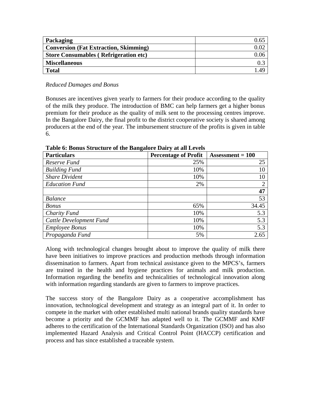| Packaging                                    | 0.6. |
|----------------------------------------------|------|
| <b>Conversion (Fat Extraction, Skimming)</b> |      |
| <b>Store Consumables (Refrigeration etc)</b> |      |
| <b>Miscellaneous</b>                         |      |
| <b>Total</b>                                 | ДQ   |

#### *Reduced Damages and Bonus*

Bonuses are incentives given yearly to farmers for their produce according to the quality of the milk they produce. The introduction of BMC can help farmers get a higher bonus premium for their produce as the quality of milk sent to the processing centres improve. In the Bangalore Dairy, the final profit to the district cooperative society is shared among producers at the end of the year. The imbursement structure of the profits is given in table 6.

| <b>Particulars</b>      | <b>Percentage of Profit</b> | Assessment $= 100$ |
|-------------------------|-----------------------------|--------------------|
| Reserve Fund            | 25%                         | 25                 |
| <b>Building Fund</b>    | 10%                         | 10                 |
| <b>Share Divident</b>   | 10%                         | 10                 |
| <b>Education Fund</b>   | 2%                          | ∍                  |
|                         |                             | 47                 |
| <b>Balance</b>          |                             | 53                 |
| <b>Bonus</b>            | 65%                         | 34.45              |
| Charity Fund            | 10%                         | 5.3                |
| Cattle Development Fund | 10%                         | 5.3                |
| <b>Employee Bonus</b>   | 10%                         | 5.3                |
| Propaganda Fund         | 5%                          | 2.65               |

**Table 6: Bonus Structure of the Bangalore Dairy at all Levels** 

Along with technological changes brought about to improve the quality of milk there have been initiatives to improve practices and production methods through information dissemination to farmers. Apart from technical assistance given to the MPCS's, farmers are trained in the health and hygiene practices for animals and milk production. Information regarding the benefits and technicalities of technological innovation along with information regarding standards are given to farmers to improve practices.

The success story of the Bangalore Dairy as a cooperative accomplishment has innovation, technological development and strategy as an integral part of it. In order to compete in the market with other established multi national brands quality standards have become a priority and the GCMMF has adapted well to it. The GCMMF and KMF adheres to the certification of the International Standards Organization (ISO) and has also implemented Hazard Analysis and Critical Control Point (HACCP) certification and process and has since established a traceable system.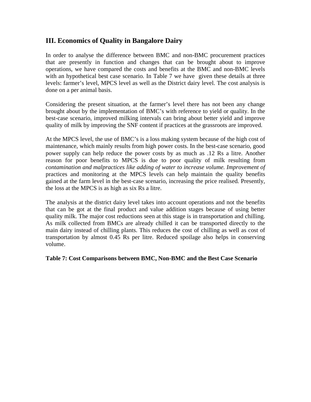## **III. Economics of Quality in Bangalore Dairy**

In order to analyse the difference between BMC and non-BMC procurement practices that are presently in function and changes that can be brought about to improve operations, we have compared the costs and benefits at the BMC and non-BMC levels with an hypothetical best case scenario. In Table 7 we have given these details at three levels: farmer's level, MPCS level as well as the District dairy level. The cost analysis is done on a per animal basis.

Considering the present situation, at the farmer's level there has not been any change brought about by the implementation of BMC's with reference to yield or quality. In the best-case scenario, improved milking intervals can bring about better yield and improve quality of milk by improving the SNF content if practices at the grassroots are improved.

At the MPCS level, the use of BMC's is a loss making system because of the high cost of maintenance, which mainly results from high power costs. In the best-case scenario, good power supply can help reduce the power costs by as much as .12 Rs a litre. Another reason for poor benefits to MPCS is due to poor quality of milk resulting from *contamination and malpractices like adding of water to increase volume. Improvement of* practices and monitoring at the MPCS levels can help maintain the quality benefits gained at the farm level in the best-case scenario, increasing the price realised. Presently, the loss at the MPCS is as high as six Rs a litre.

The analysis at the district dairy level takes into account operations and not the benefits that can be got at the final product and value addition stages because of using better quality milk. The major cost reductions seen at this stage is in transportation and chilling. As milk collected from BMCs are already chilled it can be transported directly to the main dairy instead of chilling plants. This reduces the cost of chilling as well as cost of transportation by almost 0.45 Rs per litre. Reduced spoilage also helps in conserving volume.

#### **Table 7: Cost Comparisons between BMC, Non-BMC and the Best Case Scenario**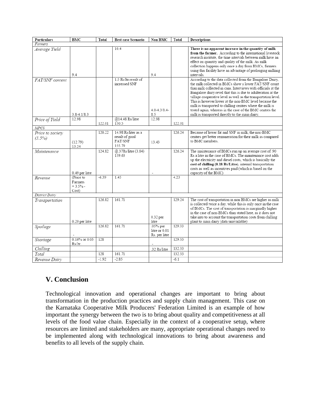| <b>Particulars</b>            | BMC                                        | Total   | <b>Best case Scenario</b>                                  | Non BMC                                    | Total  | <b>Descriptions</b>                                                                                                                                                                                                                                                                                                                                                                                                                                                                                                                                          |
|-------------------------------|--------------------------------------------|---------|------------------------------------------------------------|--------------------------------------------|--------|--------------------------------------------------------------------------------------------------------------------------------------------------------------------------------------------------------------------------------------------------------------------------------------------------------------------------------------------------------------------------------------------------------------------------------------------------------------------------------------------------------------------------------------------------------------|
| Farmers                       |                                            |         |                                                            |                                            |        |                                                                                                                                                                                                                                                                                                                                                                                                                                                                                                                                                              |
| Average Yield                 | 9.4                                        |         | 10.4                                                       | 9.4                                        |        | There is no apparent increase in the quantity of milk<br>from the farmer. According to the international livestock<br>research institute, the time intervals between milk have an<br>effect on quantity and quality of the milk. As milk<br>collection happens only once a day from BMCs, farmers<br>using this facility have an advantage of prolonging milking<br>intervals.                                                                                                                                                                               |
| FAT/SNF content               | $3.8 - 4.1/8.3$                            |         | 1.5 Rs/ltr result of<br>increased SNF                      | $4.0 - 4.3 / 8.4 -$<br>8.5                 |        | According to the data collected from the Bangalore Dairy,<br>the milk collected in BMCs show a lower FAT/SNF count<br>than milk collected in cans. Interviews with officials at the<br>Bangalore dairy revel that this is due to adulteration at the<br>village cooperative level as well as the transportation level.<br>This is however lower at the non-BMC level because the<br>milk is transported to chilling centres where the milk is<br>tested again, whereas in the case of the BMC centres the<br>milk is transported directly to the main dairy. |
| Price of Yield                | 12.98                                      |         | @14.48 Rs/litre                                            | 12.98                                      |        |                                                                                                                                                                                                                                                                                                                                                                                                                                                                                                                                                              |
|                               |                                            | 122.01  | 150.5                                                      |                                            | 122.01 |                                                                                                                                                                                                                                                                                                                                                                                                                                                                                                                                                              |
| <b>MPCS</b>                   |                                            |         |                                                            |                                            |        |                                                                                                                                                                                                                                                                                                                                                                                                                                                                                                                                                              |
| Price to society<br>$(3.5\%)$ | (12.79)<br>13.24                           | 120.22  | 14.98 Rs/liter as a<br>result of good<br>FAT/SNF<br>155.79 | 13.43                                      | 126.24 | Because of lower fat and SNF in milk, the non-BMC<br>centres get better remuneration for their milk as compared<br>to BMC members.                                                                                                                                                                                                                                                                                                                                                                                                                           |
| Maintenance                   | 0.49 per litre                             | 124.82  | @.37Rs/litre (3.84)<br>159.63                              |                                            | 126.24 | The maintenance of BMCs run up an average cost of .90<br>Rs a litre in the case of BMCs. The maintenance cost adds<br>up the electricity and diesel costs, which is basically the<br>cost of chilling (0.18 Rs/Litre), internal transportation<br>costs as well as incentives paid (which is based on the<br>capacity of the BMC)                                                                                                                                                                                                                            |
| Revenue                       | (Price to<br>Farmers<br>$+3.5%$ -<br>Cost) | $-6.39$ | 1.45                                                       |                                            | 4.23   |                                                                                                                                                                                                                                                                                                                                                                                                                                                                                                                                                              |
| District Dairy                |                                            |         |                                                            |                                            |        |                                                                                                                                                                                                                                                                                                                                                                                                                                                                                                                                                              |
| Transportation                | 0.20 per litre                             | 126.82  | 161.71                                                     | $0.32$ per<br>litre                        | 129.24 | The cost of transportation in non BMCs are higher as milk<br>is collected twice a day, while this is only once in the case<br>of BMCs. The cost of transportation is marginally higher<br>in the case of non-BMCs than stated here, as it does not<br>take into to account the transportation costs from chilling<br>plant to main dairy (data unavailable)                                                                                                                                                                                                  |
| Spoilage                      |                                            | 126.82  | 161.71                                                     | .05% per<br>litre or 0.01<br>Rs. per litre | 129.33 |                                                                                                                                                                                                                                                                                                                                                                                                                                                                                                                                                              |
| Shortage                      | 0.16% or 0.03<br>Rs/1tr.                   | 128     |                                                            |                                            | 129.33 |                                                                                                                                                                                                                                                                                                                                                                                                                                                                                                                                                              |
| Chilling                      |                                            |         |                                                            | 32 Rs/litre                                | 132.33 |                                                                                                                                                                                                                                                                                                                                                                                                                                                                                                                                                              |
| Total                         |                                            | 128     | 161.71                                                     |                                            | 132.33 |                                                                                                                                                                                                                                                                                                                                                                                                                                                                                                                                                              |
| Revenue Dairy                 |                                            | $-1.92$ | $-2.85$                                                    |                                            | $-6.1$ |                                                                                                                                                                                                                                                                                                                                                                                                                                                                                                                                                              |

# **V. Conclusion**

Technological innovation and operational changes are important to bring about transformation in the production practices and supply chain management. This case on the Karnataka Cooperative Milk Producers' Federation Limited is an example of how important the synergy between the two is to bring about quality and competitiveness at all levels of the food value chain. Especially in the context of a cooperative setup, where resources are limited and stakeholders are many, appropriate operational changes need to be implemented along with technological innovations to bring about awareness and benefits to all levels of the supply chain.